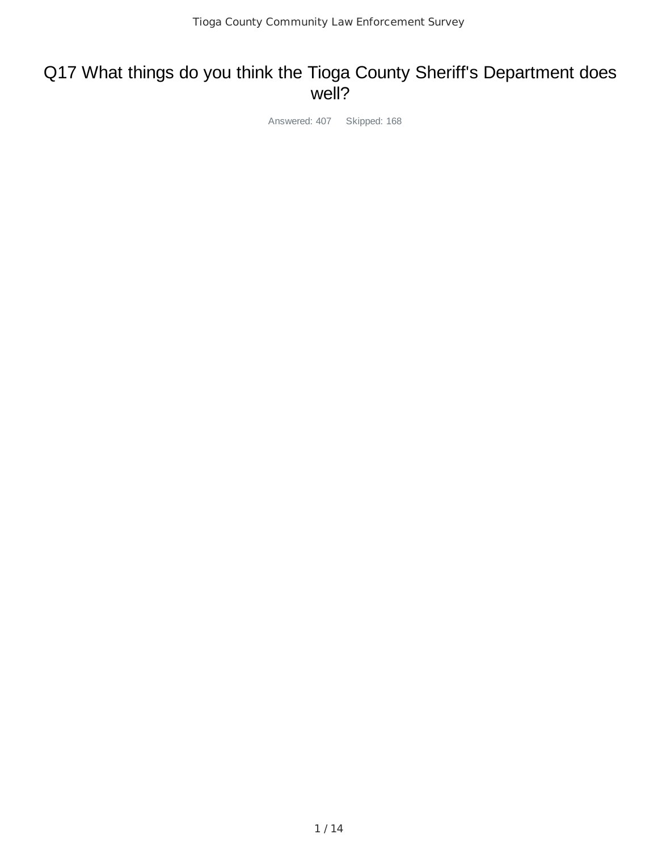# Q17 What things do you think the Tioga County Sheriff's Department does well?

Answered: 407 Skipped: 168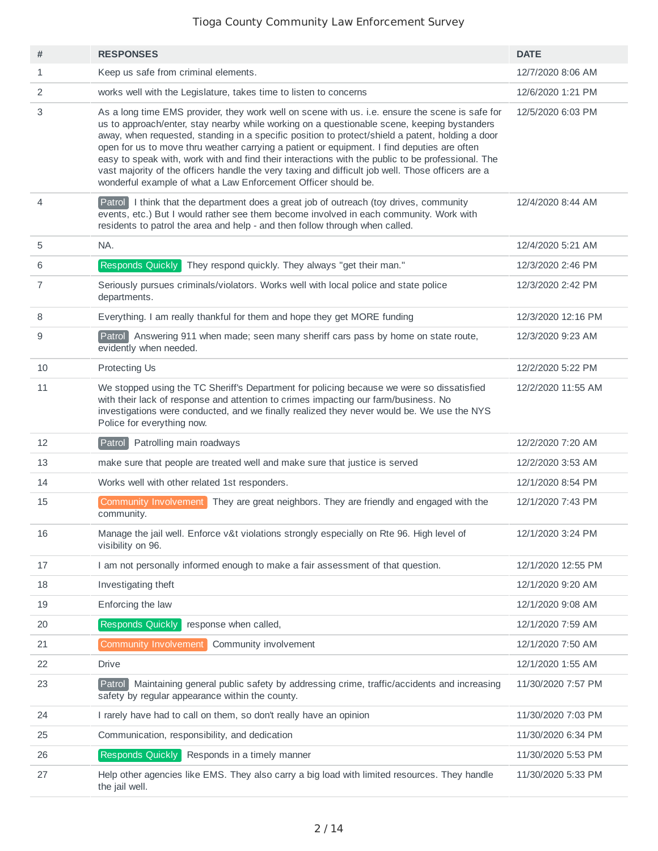| #              | <b>RESPONSES</b>                                                                                                                                                                                                                                                                                                                                                                                                                                                                                                                                                                                                                                                              | <b>DATE</b>        |
|----------------|-------------------------------------------------------------------------------------------------------------------------------------------------------------------------------------------------------------------------------------------------------------------------------------------------------------------------------------------------------------------------------------------------------------------------------------------------------------------------------------------------------------------------------------------------------------------------------------------------------------------------------------------------------------------------------|--------------------|
| 1              | Keep us safe from criminal elements.                                                                                                                                                                                                                                                                                                                                                                                                                                                                                                                                                                                                                                          | 12/7/2020 8:06 AM  |
| 2              | works well with the Legislature, takes time to listen to concerns                                                                                                                                                                                                                                                                                                                                                                                                                                                                                                                                                                                                             | 12/6/2020 1:21 PM  |
| 3              | As a long time EMS provider, they work well on scene with us. i.e. ensure the scene is safe for<br>us to approach/enter, stay nearby while working on a questionable scene, keeping bystanders<br>away, when requested, standing in a specific position to protect/shield a patent, holding a door<br>open for us to move thru weather carrying a patient or equipment. I find deputies are often<br>easy to speak with, work with and find their interactions with the public to be professional. The<br>vast majority of the officers handle the very taxing and difficult job well. Those officers are a<br>wonderful example of what a Law Enforcement Officer should be. | 12/5/2020 6:03 PM  |
| $\overline{4}$ | Patrol I think that the department does a great job of outreach (toy drives, community<br>events, etc.) But I would rather see them become involved in each community. Work with<br>residents to patrol the area and help - and then follow through when called.                                                                                                                                                                                                                                                                                                                                                                                                              | 12/4/2020 8:44 AM  |
| 5              | NA.                                                                                                                                                                                                                                                                                                                                                                                                                                                                                                                                                                                                                                                                           | 12/4/2020 5:21 AM  |
| 6              | <b>Responds Quickly</b><br>They respond quickly. They always "get their man."                                                                                                                                                                                                                                                                                                                                                                                                                                                                                                                                                                                                 | 12/3/2020 2:46 PM  |
| $\overline{7}$ | Seriously pursues criminals/violators. Works well with local police and state police<br>departments.                                                                                                                                                                                                                                                                                                                                                                                                                                                                                                                                                                          | 12/3/2020 2:42 PM  |
| 8              | Everything. I am really thankful for them and hope they get MORE funding                                                                                                                                                                                                                                                                                                                                                                                                                                                                                                                                                                                                      | 12/3/2020 12:16 PM |
| 9              | Patrol Answering 911 when made; seen many sheriff cars pass by home on state route,<br>evidently when needed.                                                                                                                                                                                                                                                                                                                                                                                                                                                                                                                                                                 | 12/3/2020 9:23 AM  |
| 10             | Protecting Us                                                                                                                                                                                                                                                                                                                                                                                                                                                                                                                                                                                                                                                                 | 12/2/2020 5:22 PM  |
| 11             | We stopped using the TC Sheriff's Department for policing because we were so dissatisfied<br>with their lack of response and attention to crimes impacting our farm/business. No<br>investigations were conducted, and we finally realized they never would be. We use the NYS<br>Police for everything now.                                                                                                                                                                                                                                                                                                                                                                  | 12/2/2020 11:55 AM |
| 12             | Patrol Patrolling main roadways                                                                                                                                                                                                                                                                                                                                                                                                                                                                                                                                                                                                                                               | 12/2/2020 7:20 AM  |
| 13             | make sure that people are treated well and make sure that justice is served                                                                                                                                                                                                                                                                                                                                                                                                                                                                                                                                                                                                   | 12/2/2020 3:53 AM  |
| 14             | Works well with other related 1st responders.                                                                                                                                                                                                                                                                                                                                                                                                                                                                                                                                                                                                                                 | 12/1/2020 8:54 PM  |
| 15             | Community Involvement<br>They are great neighbors. They are friendly and engaged with the<br>community.                                                                                                                                                                                                                                                                                                                                                                                                                                                                                                                                                                       | 12/1/2020 7:43 PM  |
| 16             | Manage the jail well. Enforce v&t violations strongly especially on Rte 96. High level of<br>visibility on 96.                                                                                                                                                                                                                                                                                                                                                                                                                                                                                                                                                                | 12/1/2020 3:24 PM  |
| 17             | I am not personally informed enough to make a fair assessment of that question.                                                                                                                                                                                                                                                                                                                                                                                                                                                                                                                                                                                               | 12/1/2020 12:55 PM |
| 18             | Investigating theft                                                                                                                                                                                                                                                                                                                                                                                                                                                                                                                                                                                                                                                           | 12/1/2020 9:20 AM  |
| 19             | Enforcing the law                                                                                                                                                                                                                                                                                                                                                                                                                                                                                                                                                                                                                                                             | 12/1/2020 9:08 AM  |
| 20             | Responds Quickly<br>response when called,                                                                                                                                                                                                                                                                                                                                                                                                                                                                                                                                                                                                                                     | 12/1/2020 7:59 AM  |
| 21             | Community Involvement<br>Community involvement                                                                                                                                                                                                                                                                                                                                                                                                                                                                                                                                                                                                                                | 12/1/2020 7:50 AM  |
| 22             | <b>Drive</b>                                                                                                                                                                                                                                                                                                                                                                                                                                                                                                                                                                                                                                                                  | 12/1/2020 1:55 AM  |
| 23             | Maintaining general public safety by addressing crime, traffic/accidents and increasing<br>Patrol<br>safety by regular appearance within the county.                                                                                                                                                                                                                                                                                                                                                                                                                                                                                                                          | 11/30/2020 7:57 PM |
| 24             | I rarely have had to call on them, so don't really have an opinion                                                                                                                                                                                                                                                                                                                                                                                                                                                                                                                                                                                                            | 11/30/2020 7:03 PM |
| 25             | Communication, responsibility, and dedication                                                                                                                                                                                                                                                                                                                                                                                                                                                                                                                                                                                                                                 | 11/30/2020 6:34 PM |
| 26             | Responds Quickly Responds in a timely manner                                                                                                                                                                                                                                                                                                                                                                                                                                                                                                                                                                                                                                  | 11/30/2020 5:53 PM |
| 27             | Help other agencies like EMS. They also carry a big load with limited resources. They handle<br>the jail well.                                                                                                                                                                                                                                                                                                                                                                                                                                                                                                                                                                | 11/30/2020 5:33 PM |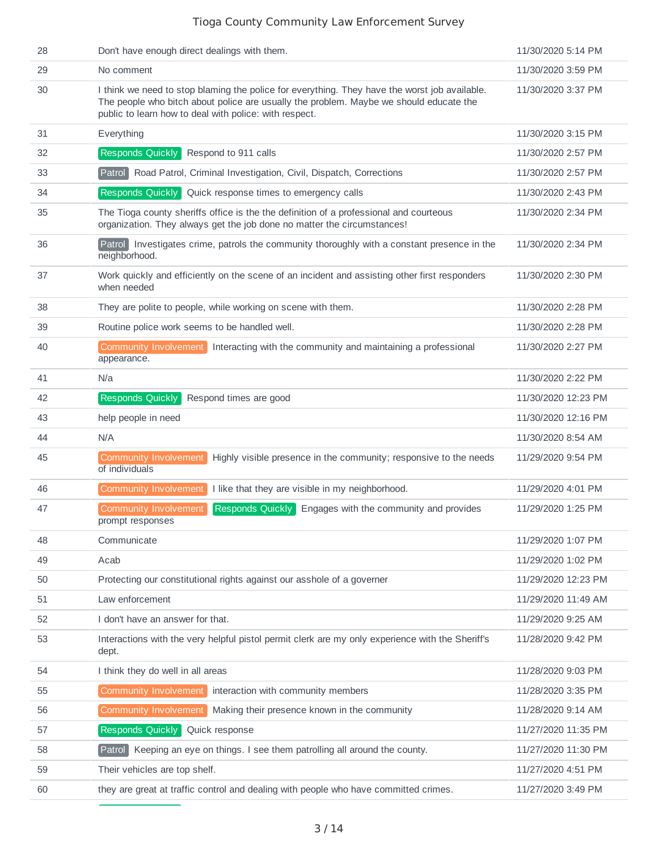| 28 | Don't have enough direct dealings with them.                                                                                                                                                                                                      | 11/30/2020 5:14 PM  |
|----|---------------------------------------------------------------------------------------------------------------------------------------------------------------------------------------------------------------------------------------------------|---------------------|
| 29 | No comment                                                                                                                                                                                                                                        | 11/30/2020 3:59 PM  |
| 30 | I think we need to stop blaming the police for everything. They have the worst job available.<br>The people who bitch about police are usually the problem. Maybe we should educate the<br>public to learn how to deal with police: with respect. | 11/30/2020 3:37 PM  |
| 31 | Everything                                                                                                                                                                                                                                        | 11/30/2020 3:15 PM  |
| 32 | Responds Quickly<br>Respond to 911 calls                                                                                                                                                                                                          | 11/30/2020 2:57 PM  |
| 33 | Patrol<br>Road Patrol, Criminal Investigation, Civil, Dispatch, Corrections                                                                                                                                                                       | 11/30/2020 2:57 PM  |
| 34 | Responds Quickly Quick response times to emergency calls                                                                                                                                                                                          | 11/30/2020 2:43 PM  |
| 35 | The Tioga county sheriffs office is the the definition of a professional and courteous<br>organization. They always get the job done no matter the circumstances!                                                                                 | 11/30/2020 2:34 PM  |
| 36 | Patrol Investigates crime, patrols the community thoroughly with a constant presence in the<br>neighborhood.                                                                                                                                      | 11/30/2020 2:34 PM  |
| 37 | Work quickly and efficiently on the scene of an incident and assisting other first responders<br>when needed                                                                                                                                      | 11/30/2020 2:30 PM  |
| 38 | They are polite to people, while working on scene with them.                                                                                                                                                                                      | 11/30/2020 2:28 PM  |
| 39 | Routine police work seems to be handled well.                                                                                                                                                                                                     | 11/30/2020 2:28 PM  |
| 40 | Community Involvement<br>Interacting with the community and maintaining a professional<br>appearance.                                                                                                                                             | 11/30/2020 2:27 PM  |
| 41 | N/a                                                                                                                                                                                                                                               | 11/30/2020 2:22 PM  |
| 42 | Responds Quickly<br>Respond times are good                                                                                                                                                                                                        | 11/30/2020 12:23 PM |
| 43 | help people in need                                                                                                                                                                                                                               | 11/30/2020 12:16 PM |
| 44 | N/A                                                                                                                                                                                                                                               | 11/30/2020 8:54 AM  |
| 45 | <b>Community Involvement</b><br>Highly visible presence in the community; responsive to the needs<br>of individuals                                                                                                                               | 11/29/2020 9:54 PM  |
| 46 | <b>Community Involvement</b><br>I like that they are visible in my neighborhood.                                                                                                                                                                  | 11/29/2020 4:01 PM  |
| 47 | <b>Community Involvement</b><br>Responds Quickly<br>Engages with the community and provides<br>prompt responses                                                                                                                                   | 11/29/2020 1:25 PM  |
| 48 | Communicate                                                                                                                                                                                                                                       | 11/29/2020 1:07 PM  |
| 49 | Acab                                                                                                                                                                                                                                              | 11/29/2020 1:02 PM  |
| 50 | Protecting our constitutional rights against our asshole of a governer                                                                                                                                                                            | 11/29/2020 12:23 PM |
| 51 | Law enforcement                                                                                                                                                                                                                                   | 11/29/2020 11:49 AM |
| 52 | I don't have an answer for that.                                                                                                                                                                                                                  | 11/29/2020 9:25 AM  |
| 53 | Interactions with the very helpful pistol permit clerk are my only experience with the Sheriff's<br>dept.                                                                                                                                         | 11/28/2020 9:42 PM  |
| 54 | I think they do well in all areas                                                                                                                                                                                                                 | 11/28/2020 9:03 PM  |
| 55 | Community Involvement<br>interaction with community members                                                                                                                                                                                       | 11/28/2020 3:35 PM  |
| 56 | Community Involvement<br>Making their presence known in the community                                                                                                                                                                             | 11/28/2020 9:14 AM  |
| 57 | Responds Quickly Quick response                                                                                                                                                                                                                   | 11/27/2020 11:35 PM |
| 58 | Keeping an eye on things. I see them patrolling all around the county.<br>$P$ atro $\Box$                                                                                                                                                         | 11/27/2020 11:30 PM |
| 59 | Their vehicles are top shelf.                                                                                                                                                                                                                     | 11/27/2020 4:51 PM  |
| 60 | they are great at traffic control and dealing with people who have committed crimes.                                                                                                                                                              | 11/27/2020 3:49 PM  |
|    |                                                                                                                                                                                                                                                   |                     |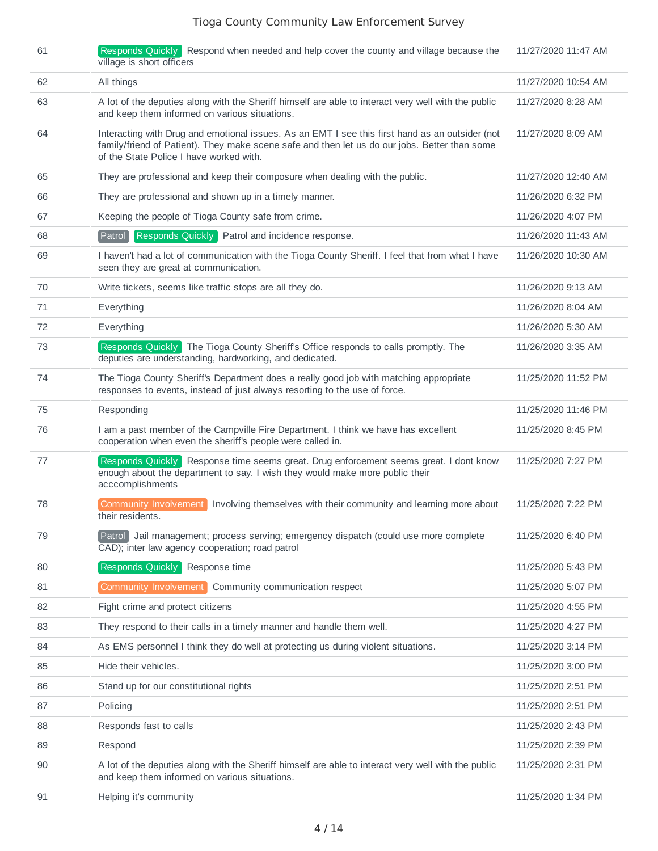| 61 | Responds Quickly Respond when needed and help cover the county and village because the<br>village is short officers                                                                                                                         | 11/27/2020 11:47 AM |
|----|---------------------------------------------------------------------------------------------------------------------------------------------------------------------------------------------------------------------------------------------|---------------------|
| 62 | All things                                                                                                                                                                                                                                  | 11/27/2020 10:54 AM |
| 63 | A lot of the deputies along with the Sheriff himself are able to interact very well with the public<br>and keep them informed on various situations.                                                                                        | 11/27/2020 8:28 AM  |
| 64 | Interacting with Drug and emotional issues. As an EMT I see this first hand as an outsider (not<br>family/friend of Patient). They make scene safe and then let us do our jobs. Better than some<br>of the State Police I have worked with. | 11/27/2020 8:09 AM  |
| 65 | They are professional and keep their composure when dealing with the public.                                                                                                                                                                | 11/27/2020 12:40 AM |
| 66 | They are professional and shown up in a timely manner.                                                                                                                                                                                      | 11/26/2020 6:32 PM  |
| 67 | Keeping the people of Tioga County safe from crime.                                                                                                                                                                                         | 11/26/2020 4:07 PM  |
| 68 | Responds Quickly<br>Patrol and incidence response.<br>Patrol                                                                                                                                                                                | 11/26/2020 11:43 AM |
| 69 | I haven't had a lot of communication with the Tioga County Sheriff. I feel that from what I have<br>seen they are great at communication.                                                                                                   | 11/26/2020 10:30 AM |
| 70 | Write tickets, seems like traffic stops are all they do.                                                                                                                                                                                    | 11/26/2020 9:13 AM  |
| 71 | Everything                                                                                                                                                                                                                                  | 11/26/2020 8:04 AM  |
| 72 | Everything                                                                                                                                                                                                                                  | 11/26/2020 5:30 AM  |
| 73 | The Tioga County Sheriff's Office responds to calls promptly. The<br><b>Responds Quickly</b><br>deputies are understanding, hardworking, and dedicated.                                                                                     | 11/26/2020 3:35 AM  |
| 74 | The Tioga County Sheriff's Department does a really good job with matching appropriate<br>responses to events, instead of just always resorting to the use of force.                                                                        | 11/25/2020 11:52 PM |
| 75 | Responding                                                                                                                                                                                                                                  | 11/25/2020 11:46 PM |
| 76 | I am a past member of the Campville Fire Department. I think we have has excellent<br>cooperation when even the sheriff's people were called in.                                                                                            | 11/25/2020 8:45 PM  |
| 77 | Responds Quickly Response time seems great. Drug enforcement seems great. I dont know<br>enough about the department to say. I wish they would make more public their<br>acccomplishments                                                   | 11/25/2020 7:27 PM  |
| 78 | Community Involvement<br>Involving themselves with their community and learning more about<br>their residents.                                                                                                                              | 11/25/2020 7:22 PM  |
| 79 | Jail management; process serving; emergency dispatch (could use more complete<br>Patrol<br>CAD); inter law agency cooperation; road patrol                                                                                                  | 11/25/2020 6:40 PM  |
| 80 | Responds Quickly<br>Response time                                                                                                                                                                                                           | 11/25/2020 5:43 PM  |
| 81 | Community Involvement<br>Community communication respect                                                                                                                                                                                    | 11/25/2020 5:07 PM  |
| 82 | Fight crime and protect citizens                                                                                                                                                                                                            | 11/25/2020 4:55 PM  |
| 83 | They respond to their calls in a timely manner and handle them well.                                                                                                                                                                        | 11/25/2020 4:27 PM  |
| 84 | As EMS personnel I think they do well at protecting us during violent situations.                                                                                                                                                           | 11/25/2020 3:14 PM  |
| 85 | Hide their vehicles.                                                                                                                                                                                                                        | 11/25/2020 3:00 PM  |
| 86 | Stand up for our constitutional rights                                                                                                                                                                                                      | 11/25/2020 2:51 PM  |
| 87 | Policing                                                                                                                                                                                                                                    | 11/25/2020 2:51 PM  |
| 88 | Responds fast to calls                                                                                                                                                                                                                      | 11/25/2020 2:43 PM  |
| 89 | Respond                                                                                                                                                                                                                                     | 11/25/2020 2:39 PM  |
| 90 | A lot of the deputies along with the Sheriff himself are able to interact very well with the public<br>and keep them informed on various situations.                                                                                        | 11/25/2020 2:31 PM  |
| 91 | Helping it's community                                                                                                                                                                                                                      | 11/25/2020 1:34 PM  |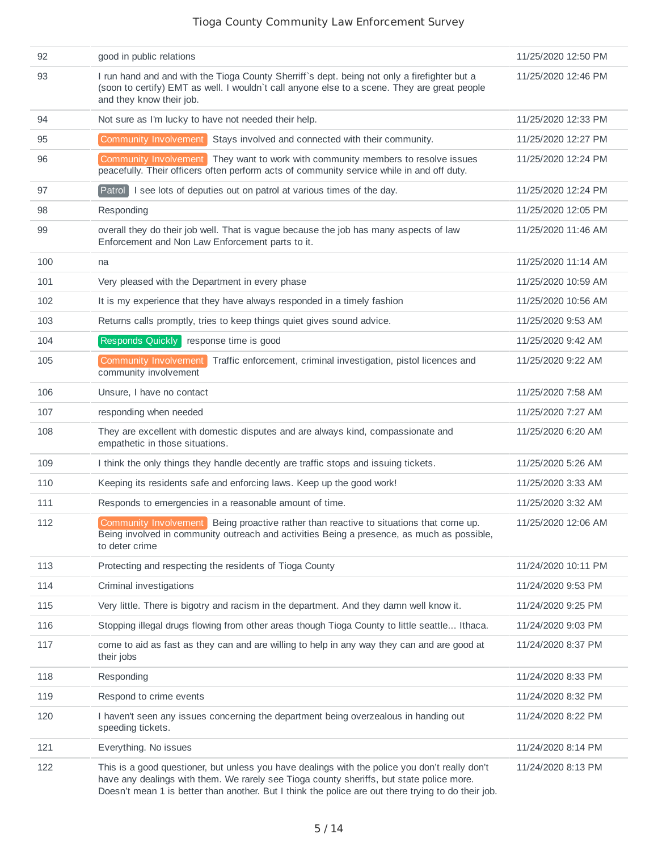| 92  | good in public relations                                                                                                                                                                                                                                                                          | 11/25/2020 12:50 PM |
|-----|---------------------------------------------------------------------------------------------------------------------------------------------------------------------------------------------------------------------------------------------------------------------------------------------------|---------------------|
| 93  | I run hand and and with the Tioga County Sherriff's dept. being not only a firefighter but a<br>(soon to certify) EMT as well. I wouldn't call anyone else to a scene. They are great people<br>and they know their job.                                                                          | 11/25/2020 12:46 PM |
| 94  | Not sure as I'm lucky to have not needed their help.                                                                                                                                                                                                                                              | 11/25/2020 12:33 PM |
| 95  | Community Involvement<br>Stays involved and connected with their community.                                                                                                                                                                                                                       | 11/25/2020 12:27 PM |
| 96  | Community Involvement They want to work with community members to resolve issues<br>peacefully. Their officers often perform acts of community service while in and off duty.                                                                                                                     | 11/25/2020 12:24 PM |
| 97  | I see lots of deputies out on patrol at various times of the day.<br>Parto                                                                                                                                                                                                                        | 11/25/2020 12:24 PM |
| 98  | Responding                                                                                                                                                                                                                                                                                        | 11/25/2020 12:05 PM |
| 99  | overall they do their job well. That is vague because the job has many aspects of law<br>Enforcement and Non Law Enforcement parts to it.                                                                                                                                                         | 11/25/2020 11:46 AM |
| 100 | na                                                                                                                                                                                                                                                                                                | 11/25/2020 11:14 AM |
| 101 | Very pleased with the Department in every phase                                                                                                                                                                                                                                                   | 11/25/2020 10:59 AM |
| 102 | It is my experience that they have always responded in a timely fashion                                                                                                                                                                                                                           | 11/25/2020 10:56 AM |
| 103 | Returns calls promptly, tries to keep things quiet gives sound advice.                                                                                                                                                                                                                            | 11/25/2020 9:53 AM  |
| 104 | Responds Quickly response time is good                                                                                                                                                                                                                                                            | 11/25/2020 9:42 AM  |
| 105 | <b>Community Involvement</b><br>Traffic enforcement, criminal investigation, pistol licences and<br>community involvement                                                                                                                                                                         | 11/25/2020 9:22 AM  |
| 106 | Unsure, I have no contact                                                                                                                                                                                                                                                                         | 11/25/2020 7:58 AM  |
| 107 | responding when needed                                                                                                                                                                                                                                                                            | 11/25/2020 7:27 AM  |
| 108 | They are excellent with domestic disputes and are always kind, compassionate and<br>empathetic in those situations.                                                                                                                                                                               | 11/25/2020 6:20 AM  |
| 109 | I think the only things they handle decently are traffic stops and issuing tickets.                                                                                                                                                                                                               | 11/25/2020 5:26 AM  |
| 110 | Keeping its residents safe and enforcing laws. Keep up the good work!                                                                                                                                                                                                                             | 11/25/2020 3:33 AM  |
| 111 | Responds to emergencies in a reasonable amount of time.                                                                                                                                                                                                                                           | 11/25/2020 3:32 AM  |
| 112 | Community Involvement Being proactive rather than reactive to situations that come up.<br>Being involved in community outreach and activities Being a presence, as much as possible,<br>to deter crime                                                                                            | 11/25/2020 12:06 AM |
| 113 | Protecting and respecting the residents of Tioga County                                                                                                                                                                                                                                           | 11/24/2020 10:11 PM |
| 114 | Criminal investigations                                                                                                                                                                                                                                                                           | 11/24/2020 9:53 PM  |
| 115 | Very little. There is bigotry and racism in the department. And they damn well know it.                                                                                                                                                                                                           | 11/24/2020 9:25 PM  |
| 116 | Stopping illegal drugs flowing from other areas though Tioga County to little seattle Ithaca.                                                                                                                                                                                                     | 11/24/2020 9:03 PM  |
| 117 | come to aid as fast as they can and are willing to help in any way they can and are good at<br>their jobs                                                                                                                                                                                         | 11/24/2020 8:37 PM  |
| 118 | Responding                                                                                                                                                                                                                                                                                        | 11/24/2020 8:33 PM  |
| 119 | Respond to crime events                                                                                                                                                                                                                                                                           | 11/24/2020 8:32 PM  |
| 120 | I haven't seen any issues concerning the department being overzealous in handing out<br>speeding tickets.                                                                                                                                                                                         | 11/24/2020 8:22 PM  |
| 121 | Everything. No issues                                                                                                                                                                                                                                                                             | 11/24/2020 8:14 PM  |
| 122 | This is a good questioner, but unless you have dealings with the police you don't really don't<br>have any dealings with them. We rarely see Tioga county sheriffs, but state police more.<br>Doesn't mean 1 is better than another. But I think the police are out there trying to do their job. | 11/24/2020 8:13 PM  |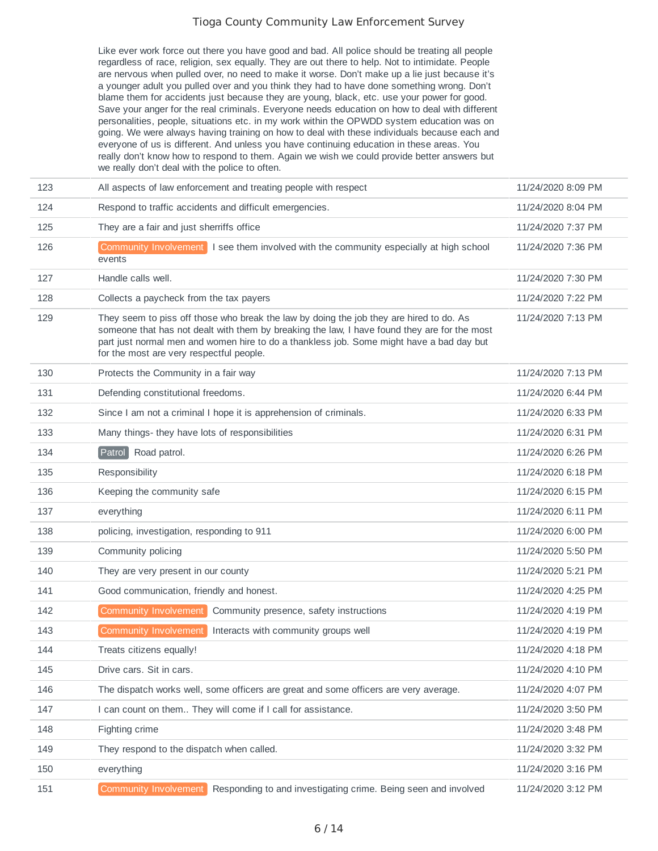Like ever work force out there you have good and bad. All police should be treating all people regardless of race, religion, sex equally. They are out there to help. Not to intimidate. People are nervous when pulled over, no need to make it worse. Don't make up a lie just because it's a younger adult you pulled over and you think they had to have done something wrong. Don't blame them for accidents just because they are young, black, etc. use your power for good. Save your anger for the real criminals. Everyone needs education on how to deal with different personalities, people, situations etc. in my work within the OPWDD system education was on going. We were always having training on how to deal with these individuals because each and everyone of us is different. And unless you have continuing education in these areas. You really don't know how to respond to them. Again we wish we could provide better answers but we really don't deal with the police to often.

| 123 | All aspects of law enforcement and treating people with respect                                                                                                                                                                                                                                                                 | 11/24/2020 8:09 PM |
|-----|---------------------------------------------------------------------------------------------------------------------------------------------------------------------------------------------------------------------------------------------------------------------------------------------------------------------------------|--------------------|
| 124 | Respond to traffic accidents and difficult emergencies.                                                                                                                                                                                                                                                                         | 11/24/2020 8:04 PM |
| 125 | They are a fair and just sherriffs office                                                                                                                                                                                                                                                                                       | 11/24/2020 7:37 PM |
| 126 | Community Involvement I see them involved with the community especially at high school<br>events                                                                                                                                                                                                                                | 11/24/2020 7:36 PM |
| 127 | Handle calls well.                                                                                                                                                                                                                                                                                                              | 11/24/2020 7:30 PM |
| 128 | Collects a paycheck from the tax payers                                                                                                                                                                                                                                                                                         | 11/24/2020 7:22 PM |
| 129 | They seem to piss off those who break the law by doing the job they are hired to do. As<br>someone that has not dealt with them by breaking the law, I have found they are for the most<br>part just normal men and women hire to do a thankless job. Some might have a bad day but<br>for the most are very respectful people. | 11/24/2020 7:13 PM |
| 130 | Protects the Community in a fair way                                                                                                                                                                                                                                                                                            | 11/24/2020 7:13 PM |
| 131 | Defending constitutional freedoms.                                                                                                                                                                                                                                                                                              | 11/24/2020 6:44 PM |
| 132 | Since I am not a criminal I hope it is apprehension of criminals.                                                                                                                                                                                                                                                               | 11/24/2020 6:33 PM |
| 133 | Many things- they have lots of responsibilities                                                                                                                                                                                                                                                                                 | 11/24/2020 6:31 PM |
| 134 | Patrol Road patrol.                                                                                                                                                                                                                                                                                                             | 11/24/2020 6:26 PM |
| 135 | Responsibility                                                                                                                                                                                                                                                                                                                  | 11/24/2020 6:18 PM |
| 136 | Keeping the community safe                                                                                                                                                                                                                                                                                                      | 11/24/2020 6:15 PM |
| 137 | everything                                                                                                                                                                                                                                                                                                                      | 11/24/2020 6:11 PM |
| 138 | policing, investigation, responding to 911                                                                                                                                                                                                                                                                                      | 11/24/2020 6:00 PM |
| 139 | Community policing                                                                                                                                                                                                                                                                                                              | 11/24/2020 5:50 PM |
| 140 | They are very present in our county                                                                                                                                                                                                                                                                                             | 11/24/2020 5:21 PM |
| 141 | Good communication, friendly and honest.                                                                                                                                                                                                                                                                                        | 11/24/2020 4:25 PM |
| 142 | Community Involvement<br>Community presence, safety instructions                                                                                                                                                                                                                                                                | 11/24/2020 4:19 PM |
| 143 | Community Involvement<br>Interacts with community groups well                                                                                                                                                                                                                                                                   | 11/24/2020 4:19 PM |
| 144 | Treats citizens equally!                                                                                                                                                                                                                                                                                                        | 11/24/2020 4:18 PM |
| 145 | Drive cars. Sit in cars.                                                                                                                                                                                                                                                                                                        | 11/24/2020 4:10 PM |
| 146 | The dispatch works well, some officers are great and some officers are very average.                                                                                                                                                                                                                                            | 11/24/2020 4:07 PM |
| 147 | I can count on them They will come if I call for assistance.                                                                                                                                                                                                                                                                    | 11/24/2020 3:50 PM |
| 148 | Fighting crime                                                                                                                                                                                                                                                                                                                  | 11/24/2020 3:48 PM |
| 149 | They respond to the dispatch when called.                                                                                                                                                                                                                                                                                       | 11/24/2020 3:32 PM |
| 150 | everything                                                                                                                                                                                                                                                                                                                      | 11/24/2020 3:16 PM |
| 151 | Community Involvement<br>Responding to and investigating crime. Being seen and involved                                                                                                                                                                                                                                         | 11/24/2020 3:12 PM |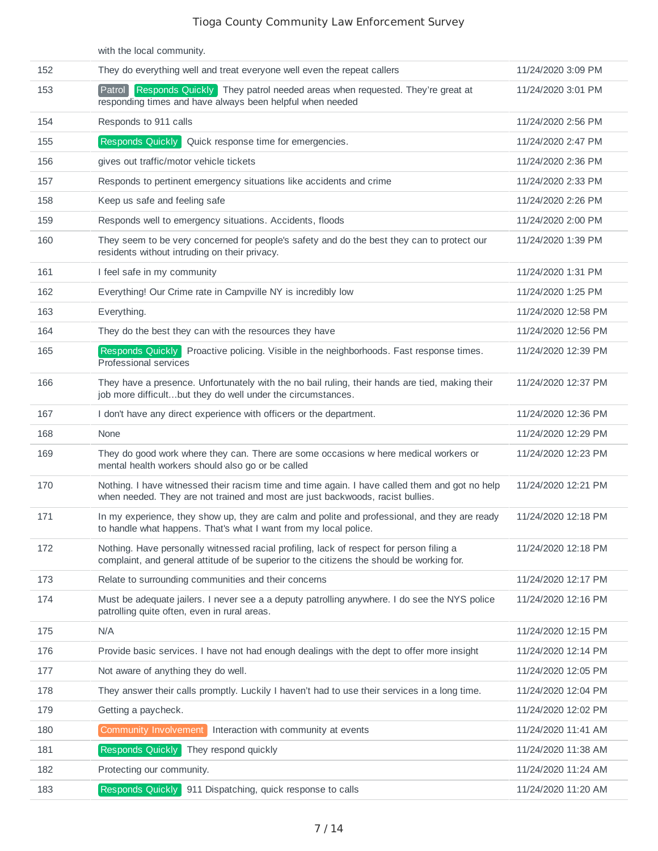|     | with the local community.                                                                                                                                                             |                     |
|-----|---------------------------------------------------------------------------------------------------------------------------------------------------------------------------------------|---------------------|
| 152 | They do everything well and treat everyone well even the repeat callers                                                                                                               | 11/24/2020 3:09 PM  |
| 153 | Patrol<br>Responds Quickly They patrol needed areas when requested. They're great at<br>responding times and have always been helpful when needed                                     | 11/24/2020 3:01 PM  |
| 154 | Responds to 911 calls                                                                                                                                                                 | 11/24/2020 2:56 PM  |
| 155 | <b>Responds Quickly</b><br>Quick response time for emergencies.                                                                                                                       | 11/24/2020 2:47 PM  |
| 156 | gives out traffic/motor vehicle tickets                                                                                                                                               | 11/24/2020 2:36 PM  |
| 157 | Responds to pertinent emergency situations like accidents and crime                                                                                                                   | 11/24/2020 2:33 PM  |
| 158 | Keep us safe and feeling safe                                                                                                                                                         | 11/24/2020 2:26 PM  |
| 159 | Responds well to emergency situations. Accidents, floods                                                                                                                              | 11/24/2020 2:00 PM  |
| 160 | They seem to be very concerned for people's safety and do the best they can to protect our<br>residents without intruding on their privacy.                                           | 11/24/2020 1:39 PM  |
| 161 | I feel safe in my community                                                                                                                                                           | 11/24/2020 1:31 PM  |
| 162 | Everything! Our Crime rate in Campville NY is incredibly low                                                                                                                          | 11/24/2020 1:25 PM  |
| 163 | Everything.                                                                                                                                                                           | 11/24/2020 12:58 PM |
| 164 | They do the best they can with the resources they have                                                                                                                                | 11/24/2020 12:56 PM |
| 165 | Responds Quickly Proactive policing. Visible in the neighborhoods. Fast response times.<br>Professional services                                                                      | 11/24/2020 12:39 PM |
| 166 | They have a presence. Unfortunately with the no bail ruling, their hands are tied, making their<br>job more difficultbut they do well under the circumstances.                        | 11/24/2020 12:37 PM |
| 167 | I don't have any direct experience with officers or the department.                                                                                                                   | 11/24/2020 12:36 PM |
| 168 | None                                                                                                                                                                                  | 11/24/2020 12:29 PM |
| 169 | They do good work where they can. There are some occasions w here medical workers or<br>mental health workers should also go or be called                                             | 11/24/2020 12:23 PM |
| 170 | Nothing. I have witnessed their racism time and time again. I have called them and got no help<br>when needed. They are not trained and most are just backwoods, racist bullies.      | 11/24/2020 12:21 PM |
| 171 | In my experience, they show up, they are calm and polite and professional, and they are ready<br>to handle what happens. That's what I want from my local police.                     | 11/24/2020 12:18 PM |
| 172 | Nothing. Have personally witnessed racial profiling, lack of respect for person filing a<br>complaint, and general attitude of be superior to the citizens the should be working for. | 11/24/2020 12:18 PM |
| 173 | Relate to surrounding communities and their concerns                                                                                                                                  | 11/24/2020 12:17 PM |
| 174 | Must be adequate jailers. I never see a a deputy patrolling anywhere. I do see the NYS police<br>patrolling quite often, even in rural areas.                                         | 11/24/2020 12:16 PM |
| 175 | N/A                                                                                                                                                                                   | 11/24/2020 12:15 PM |
| 176 | Provide basic services. I have not had enough dealings with the dept to offer more insight                                                                                            | 11/24/2020 12:14 PM |
| 177 | Not aware of anything they do well.                                                                                                                                                   | 11/24/2020 12:05 PM |
| 178 | They answer their calls promptly. Luckily I haven't had to use their services in a long time.                                                                                         | 11/24/2020 12:04 PM |
| 179 | Getting a paycheck.                                                                                                                                                                   | 11/24/2020 12:02 PM |
| 180 | Interaction with community at events<br>Community Involvement                                                                                                                         | 11/24/2020 11:41 AM |
| 181 | Responds Quickly<br>They respond quickly                                                                                                                                              | 11/24/2020 11:38 AM |
| 182 | Protecting our community.                                                                                                                                                             | 11/24/2020 11:24 AM |
| 183 | Responds Quickly<br>911 Dispatching, quick response to calls                                                                                                                          | 11/24/2020 11:20 AM |
|     |                                                                                                                                                                                       |                     |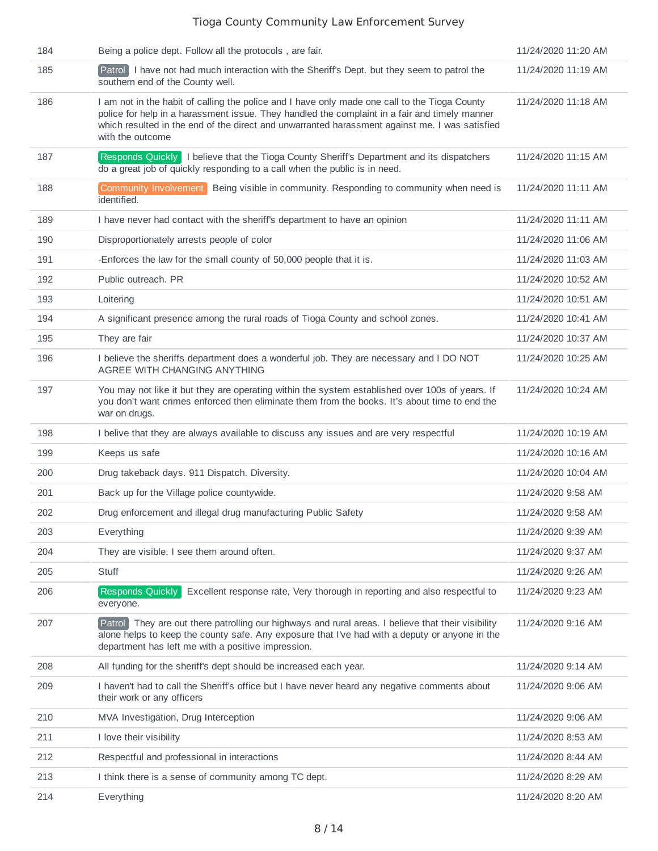| 184 | Being a police dept. Follow all the protocols, are fair.                                                                                                                                                                                                                                                             | 11/24/2020 11:20 AM |
|-----|----------------------------------------------------------------------------------------------------------------------------------------------------------------------------------------------------------------------------------------------------------------------------------------------------------------------|---------------------|
| 185 | Patrol I have not had much interaction with the Sheriff's Dept. but they seem to patrol the<br>southern end of the County well.                                                                                                                                                                                      | 11/24/2020 11:19 AM |
| 186 | I am not in the habit of calling the police and I have only made one call to the Tioga County<br>police for help in a harassment issue. They handled the complaint in a fair and timely manner<br>which resulted in the end of the direct and unwarranted harassment against me. I was satisfied<br>with the outcome | 11/24/2020 11:18 AM |
| 187 | Responds Quickly   I believe that the Tioga County Sheriff's Department and its dispatchers<br>do a great job of quickly responding to a call when the public is in need.                                                                                                                                            | 11/24/2020 11:15 AM |
| 188 | Community Involvement<br>Being visible in community. Responding to community when need is<br>identified.                                                                                                                                                                                                             | 11/24/2020 11:11 AM |
| 189 | I have never had contact with the sheriff's department to have an opinion                                                                                                                                                                                                                                            | 11/24/2020 11:11 AM |
| 190 | Disproportionately arrests people of color                                                                                                                                                                                                                                                                           | 11/24/2020 11:06 AM |
| 191 | -Enforces the law for the small county of 50,000 people that it is.                                                                                                                                                                                                                                                  | 11/24/2020 11:03 AM |
| 192 | Public outreach. PR                                                                                                                                                                                                                                                                                                  | 11/24/2020 10:52 AM |
| 193 | Loitering                                                                                                                                                                                                                                                                                                            | 11/24/2020 10:51 AM |
| 194 | A significant presence among the rural roads of Tioga County and school zones.                                                                                                                                                                                                                                       | 11/24/2020 10:41 AM |
| 195 | They are fair                                                                                                                                                                                                                                                                                                        | 11/24/2020 10:37 AM |
| 196 | I believe the sheriffs department does a wonderful job. They are necessary and I DO NOT<br>AGREE WITH CHANGING ANYTHING                                                                                                                                                                                              | 11/24/2020 10:25 AM |
| 197 | You may not like it but they are operating within the system established over 100s of years. If<br>you don't want crimes enforced then eliminate them from the books. It's about time to end the<br>war on drugs.                                                                                                    | 11/24/2020 10:24 AM |
| 198 | I belive that they are always available to discuss any issues and are very respectful                                                                                                                                                                                                                                | 11/24/2020 10:19 AM |
| 199 | Keeps us safe                                                                                                                                                                                                                                                                                                        | 11/24/2020 10:16 AM |
| 200 | Drug takeback days. 911 Dispatch. Diversity.                                                                                                                                                                                                                                                                         | 11/24/2020 10:04 AM |
| 201 | Back up for the Village police countywide.                                                                                                                                                                                                                                                                           | 11/24/2020 9:58 AM  |
| 202 | Drug enforcement and illegal drug manufacturing Public Safety                                                                                                                                                                                                                                                        | 11/24/2020 9:58 AM  |
| 203 | Everything                                                                                                                                                                                                                                                                                                           | 11/24/2020 9:39 AM  |
| 204 | They are visible. I see them around often.                                                                                                                                                                                                                                                                           | 11/24/2020 9:37 AM  |
| 205 | Stuff                                                                                                                                                                                                                                                                                                                | 11/24/2020 9:26 AM  |
| 206 | Excellent response rate, Very thorough in reporting and also respectful to<br><b>Responds Ouickly</b><br>everyone.                                                                                                                                                                                                   | 11/24/2020 9:23 AM  |
| 207 | Patrol They are out there patrolling our highways and rural areas. I believe that their visibility<br>alone helps to keep the county safe. Any exposure that I've had with a deputy or anyone in the<br>department has left me with a positive impression.                                                           | 11/24/2020 9:16 AM  |
| 208 | All funding for the sheriff's dept should be increased each year.                                                                                                                                                                                                                                                    | 11/24/2020 9:14 AM  |
| 209 | I haven't had to call the Sheriff's office but I have never heard any negative comments about<br>their work or any officers                                                                                                                                                                                          | 11/24/2020 9:06 AM  |
| 210 | MVA Investigation, Drug Interception                                                                                                                                                                                                                                                                                 | 11/24/2020 9:06 AM  |
| 211 | I love their visibility                                                                                                                                                                                                                                                                                              | 11/24/2020 8:53 AM  |
| 212 | Respectful and professional in interactions                                                                                                                                                                                                                                                                          | 11/24/2020 8:44 AM  |
| 213 | I think there is a sense of community among TC dept.                                                                                                                                                                                                                                                                 | 11/24/2020 8:29 AM  |
| 214 | Everything                                                                                                                                                                                                                                                                                                           | 11/24/2020 8:20 AM  |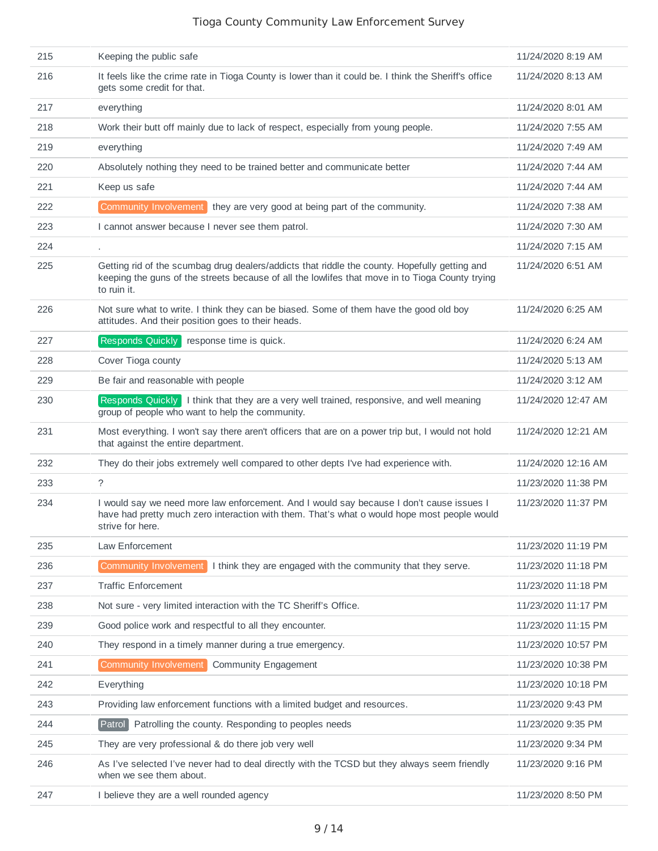| 215 | Keeping the public safe                                                                                                                                                                                         | 11/24/2020 8:19 AM  |
|-----|-----------------------------------------------------------------------------------------------------------------------------------------------------------------------------------------------------------------|---------------------|
| 216 | It feels like the crime rate in Tioga County is lower than it could be. I think the Sheriff's office<br>gets some credit for that.                                                                              | 11/24/2020 8:13 AM  |
| 217 | everything                                                                                                                                                                                                      | 11/24/2020 8:01 AM  |
| 218 | Work their butt off mainly due to lack of respect, especially from young people.                                                                                                                                | 11/24/2020 7:55 AM  |
| 219 | everything                                                                                                                                                                                                      | 11/24/2020 7:49 AM  |
| 220 | Absolutely nothing they need to be trained better and communicate better                                                                                                                                        | 11/24/2020 7:44 AM  |
| 221 | Keep us safe                                                                                                                                                                                                    | 11/24/2020 7:44 AM  |
| 222 | Community Involvement they are very good at being part of the community.                                                                                                                                        | 11/24/2020 7:38 AM  |
| 223 | I cannot answer because I never see them patrol.                                                                                                                                                                | 11/24/2020 7:30 AM  |
| 224 |                                                                                                                                                                                                                 | 11/24/2020 7:15 AM  |
| 225 | Getting rid of the scumbag drug dealers/addicts that riddle the county. Hopefully getting and<br>keeping the guns of the streets because of all the lowlifes that move in to Tioga County trying<br>to ruin it. | 11/24/2020 6:51 AM  |
| 226 | Not sure what to write. I think they can be biased. Some of them have the good old boy<br>attitudes. And their position goes to their heads.                                                                    | 11/24/2020 6:25 AM  |
| 227 | Responds Quickly response time is quick.                                                                                                                                                                        | 11/24/2020 6:24 AM  |
| 228 | Cover Tioga county                                                                                                                                                                                              | 11/24/2020 5:13 AM  |
| 229 | Be fair and reasonable with people                                                                                                                                                                              | 11/24/2020 3:12 AM  |
| 230 | Responds Quickly   I think that they are a very well trained, responsive, and well meaning<br>group of people who want to help the community.                                                                   | 11/24/2020 12:47 AM |
| 231 | Most everything. I won't say there aren't officers that are on a power trip but, I would not hold<br>that against the entire department.                                                                        | 11/24/2020 12:21 AM |
| 232 | They do their jobs extremely well compared to other depts I've had experience with.                                                                                                                             | 11/24/2020 12:16 AM |
| 233 | $\tilde{?}$                                                                                                                                                                                                     | 11/23/2020 11:38 PM |
| 234 | I would say we need more law enforcement. And I would say because I don't cause issues I<br>have had pretty much zero interaction with them. That's what o would hope most people would<br>strive for here.     | 11/23/2020 11:37 PM |
| 235 | Law Enforcement                                                                                                                                                                                                 | 11/23/2020 11:19 PM |
| 236 | Community Involvement<br>I think they are engaged with the community that they serve.                                                                                                                           | 11/23/2020 11:18 PM |
| 237 | <b>Traffic Enforcement</b>                                                                                                                                                                                      | 11/23/2020 11:18 PM |
| 238 | Not sure - very limited interaction with the TC Sheriff's Office.                                                                                                                                               | 11/23/2020 11:17 PM |
| 239 | Good police work and respectful to all they encounter.                                                                                                                                                          | 11/23/2020 11:15 PM |
| 240 | They respond in a timely manner during a true emergency.                                                                                                                                                        | 11/23/2020 10:57 PM |
| 241 | Community Involvement<br><b>Community Engagement</b>                                                                                                                                                            | 11/23/2020 10:38 PM |
| 242 | Everything                                                                                                                                                                                                      | 11/23/2020 10:18 PM |
| 243 | Providing law enforcement functions with a limited budget and resources.                                                                                                                                        | 11/23/2020 9:43 PM  |
| 244 | Patrol Patrolling the county. Responding to peoples needs                                                                                                                                                       | 11/23/2020 9:35 PM  |
| 245 | They are very professional & do there job very well                                                                                                                                                             | 11/23/2020 9:34 PM  |
| 246 | As I've selected I've never had to deal directly with the TCSD but they always seem friendly<br>when we see them about.                                                                                         | 11/23/2020 9:16 PM  |
| 247 | I believe they are a well rounded agency                                                                                                                                                                        | 11/23/2020 8:50 PM  |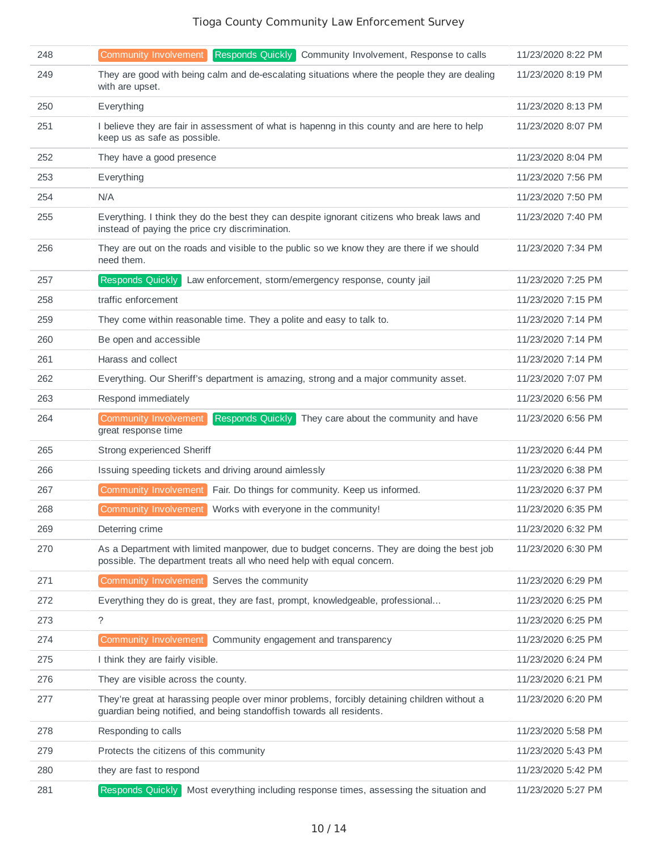| 248 | Responds Quickly Community Involvement, Response to calls<br><b>Community Involvement</b>                                                                             | 11/23/2020 8:22 PM |
|-----|-----------------------------------------------------------------------------------------------------------------------------------------------------------------------|--------------------|
| 249 | They are good with being calm and de-escalating situations where the people they are dealing<br>with are upset.                                                       | 11/23/2020 8:19 PM |
| 250 | Everything                                                                                                                                                            | 11/23/2020 8:13 PM |
| 251 | I believe they are fair in assessment of what is hapenng in this county and are here to help<br>keep us as safe as possible.                                          | 11/23/2020 8:07 PM |
| 252 | They have a good presence                                                                                                                                             | 11/23/2020 8:04 PM |
| 253 | Everything                                                                                                                                                            | 11/23/2020 7:56 PM |
| 254 | N/A                                                                                                                                                                   | 11/23/2020 7:50 PM |
| 255 | Everything. I think they do the best they can despite ignorant citizens who break laws and<br>instead of paying the price cry discrimination.                         | 11/23/2020 7:40 PM |
| 256 | They are out on the roads and visible to the public so we know they are there if we should<br>need them.                                                              | 11/23/2020 7:34 PM |
| 257 | Responds Quickly<br>Law enforcement, storm/emergency response, county jail                                                                                            | 11/23/2020 7:25 PM |
| 258 | traffic enforcement                                                                                                                                                   | 11/23/2020 7:15 PM |
| 259 | They come within reasonable time. They a polite and easy to talk to.                                                                                                  | 11/23/2020 7:14 PM |
| 260 | Be open and accessible                                                                                                                                                | 11/23/2020 7:14 PM |
| 261 | Harass and collect                                                                                                                                                    | 11/23/2020 7:14 PM |
| 262 | Everything. Our Sheriff's department is amazing, strong and a major community asset.                                                                                  | 11/23/2020 7:07 PM |
| 263 | Respond immediately                                                                                                                                                   | 11/23/2020 6:56 PM |
| 264 | <b>Community Involvement</b><br>Responds Quickly<br>They care about the community and have<br>great response time                                                     | 11/23/2020 6:56 PM |
| 265 | Strong experienced Sheriff                                                                                                                                            | 11/23/2020 6:44 PM |
| 266 | Issuing speeding tickets and driving around aimlessly                                                                                                                 | 11/23/2020 6:38 PM |
| 267 | Community Involvement<br>Fair. Do things for community. Keep us informed.                                                                                             | 11/23/2020 6:37 PM |
| 268 | <b>Community Involvement</b><br>Works with everyone in the community!                                                                                                 | 11/23/2020 6:35 PM |
| 269 | Deterring crime                                                                                                                                                       | 11/23/2020 6:32 PM |
| 270 | As a Department with limited manpower, due to budget concerns. They are doing the best job<br>possible. The department treats all who need help with equal concern.   | 11/23/2020 6:30 PM |
| 271 | Community Involvement<br>Serves the community                                                                                                                         | 11/23/2020 6:29 PM |
| 272 | Everything they do is great, they are fast, prompt, knowledgeable, professional                                                                                       | 11/23/2020 6:25 PM |
| 273 | $\tilde{?}$                                                                                                                                                           | 11/23/2020 6:25 PM |
| 274 | Community Involvement<br>Community engagement and transparency                                                                                                        | 11/23/2020 6:25 PM |
| 275 | I think they are fairly visible.                                                                                                                                      | 11/23/2020 6:24 PM |
| 276 | They are visible across the county.                                                                                                                                   | 11/23/2020 6:21 PM |
| 277 | They're great at harassing people over minor problems, forcibly detaining children without a<br>guardian being notified, and being standoffish towards all residents. | 11/23/2020 6:20 PM |
| 278 | Responding to calls                                                                                                                                                   | 11/23/2020 5:58 PM |
| 279 | Protects the citizens of this community                                                                                                                               | 11/23/2020 5:43 PM |
| 280 | they are fast to respond                                                                                                                                              | 11/23/2020 5:42 PM |
| 281 | Responds Quickly Most everything including response times, assessing the situation and                                                                                | 11/23/2020 5:27 PM |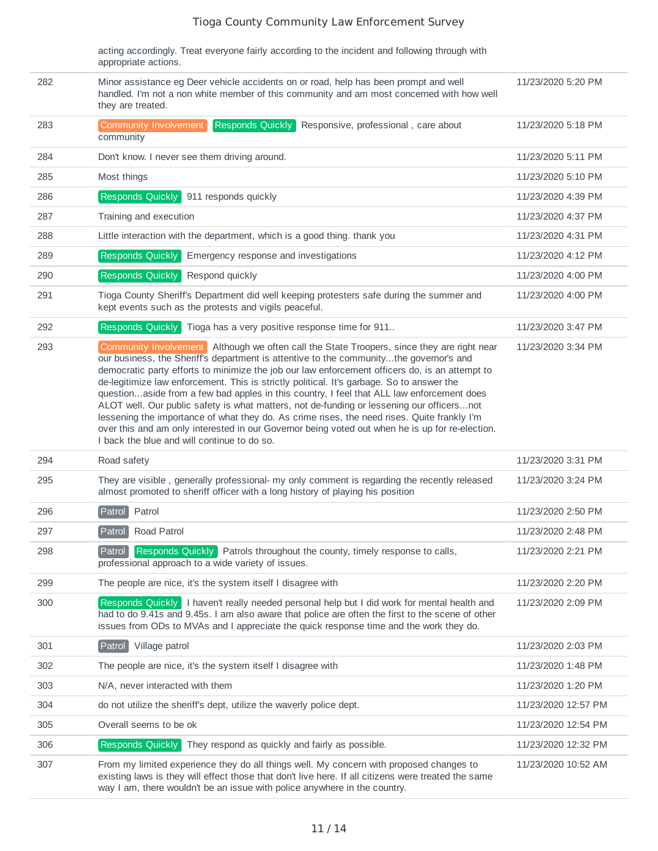acting accordingly. Treat everyone fairly according to the incident and following through with appropriate actions.

| 282 | Minor assistance eg Deer vehicle accidents on or road, help has been prompt and well<br>handled. I'm not a non white member of this community and am most concerned with how well<br>they are treated.                                                                                                                                                                                                                                                                                                                                                                                                                                                                                                                                                                                                                         | 11/23/2020 5:20 PM  |
|-----|--------------------------------------------------------------------------------------------------------------------------------------------------------------------------------------------------------------------------------------------------------------------------------------------------------------------------------------------------------------------------------------------------------------------------------------------------------------------------------------------------------------------------------------------------------------------------------------------------------------------------------------------------------------------------------------------------------------------------------------------------------------------------------------------------------------------------------|---------------------|
| 283 | <b>Responds Quickly</b><br>Community Involvement<br>Responsive, professional, care about<br>community                                                                                                                                                                                                                                                                                                                                                                                                                                                                                                                                                                                                                                                                                                                          | 11/23/2020 5:18 PM  |
| 284 | Don't know. I never see them driving around.                                                                                                                                                                                                                                                                                                                                                                                                                                                                                                                                                                                                                                                                                                                                                                                   | 11/23/2020 5:11 PM  |
| 285 | Most things                                                                                                                                                                                                                                                                                                                                                                                                                                                                                                                                                                                                                                                                                                                                                                                                                    | 11/23/2020 5:10 PM  |
| 286 | Responds Quickly<br>911 responds quickly                                                                                                                                                                                                                                                                                                                                                                                                                                                                                                                                                                                                                                                                                                                                                                                       | 11/23/2020 4:39 PM  |
| 287 | Training and execution                                                                                                                                                                                                                                                                                                                                                                                                                                                                                                                                                                                                                                                                                                                                                                                                         | 11/23/2020 4:37 PM  |
| 288 | Little interaction with the department, which is a good thing. thank you                                                                                                                                                                                                                                                                                                                                                                                                                                                                                                                                                                                                                                                                                                                                                       | 11/23/2020 4:31 PM  |
| 289 | Responds Quickly<br>Emergency response and investigations                                                                                                                                                                                                                                                                                                                                                                                                                                                                                                                                                                                                                                                                                                                                                                      | 11/23/2020 4:12 PM  |
| 290 | Responds Quickly<br>Respond quickly                                                                                                                                                                                                                                                                                                                                                                                                                                                                                                                                                                                                                                                                                                                                                                                            | 11/23/2020 4:00 PM  |
| 291 | Tioga County Sheriff's Department did well keeping protesters safe during the summer and<br>kept events such as the protests and vigils peaceful.                                                                                                                                                                                                                                                                                                                                                                                                                                                                                                                                                                                                                                                                              | 11/23/2020 4:00 PM  |
| 292 | Responds Quickly<br>Tioga has a very positive response time for 911                                                                                                                                                                                                                                                                                                                                                                                                                                                                                                                                                                                                                                                                                                                                                            | 11/23/2020 3:47 PM  |
| 293 | Community Involvement Although we often call the State Troopers, since they are right near<br>our business, the Sheriff's department is attentive to the communitythe governor's and<br>democratic party efforts to minimize the job our law enforcement officers do, is an attempt to<br>de-legitimize law enforcement. This is strictly political. It's garbage. So to answer the<br>questionaside from a few bad apples in this country, I feel that ALL law enforcement does<br>ALOT well. Our public safety is what matters, not de-funding or lessening our officersnot<br>lessening the importance of what they do. As crime rises, the need rises. Quite frankly I'm<br>over this and am only interested in our Governor being voted out when he is up for re-election.<br>I back the blue and will continue to do so. | 11/23/2020 3:34 PM  |
| 294 | Road safety                                                                                                                                                                                                                                                                                                                                                                                                                                                                                                                                                                                                                                                                                                                                                                                                                    | 11/23/2020 3:31 PM  |
| 295 | They are visible, generally professional- my only comment is regarding the recently released<br>almost promoted to sheriff officer with a long history of playing his position                                                                                                                                                                                                                                                                                                                                                                                                                                                                                                                                                                                                                                                 | 11/23/2020 3:24 PM  |
| 296 | Patrol<br>Patrol                                                                                                                                                                                                                                                                                                                                                                                                                                                                                                                                                                                                                                                                                                                                                                                                               | 11/23/2020 2:50 PM  |
| 297 | Road Patrol<br>Patrol                                                                                                                                                                                                                                                                                                                                                                                                                                                                                                                                                                                                                                                                                                                                                                                                          | 11/23/2020 2:48 PM  |
| 298 | Patrol Responds Quickly Patrols throughout the county, timely response to calls,<br>professional approach to a wide variety of issues.                                                                                                                                                                                                                                                                                                                                                                                                                                                                                                                                                                                                                                                                                         | 11/23/2020 2:21 PM  |
| 299 | The people are nice, it's the system itself I disagree with                                                                                                                                                                                                                                                                                                                                                                                                                                                                                                                                                                                                                                                                                                                                                                    | 11/23/2020 2:20 PM  |
| 300 | Responds Quickly   I haven't really needed personal help but I did work for mental health and<br>had to do 9.41s and 9.45s. I am also aware that police are often the first to the scene of other<br>issues from ODs to MVAs and I appreciate the quick response time and the work they do.                                                                                                                                                                                                                                                                                                                                                                                                                                                                                                                                    | 11/23/2020 2:09 PM  |
| 301 | Patrol<br>Village patrol                                                                                                                                                                                                                                                                                                                                                                                                                                                                                                                                                                                                                                                                                                                                                                                                       | 11/23/2020 2:03 PM  |
| 302 | The people are nice, it's the system itself I disagree with                                                                                                                                                                                                                                                                                                                                                                                                                                                                                                                                                                                                                                                                                                                                                                    | 11/23/2020 1:48 PM  |
| 303 | N/A, never interacted with them                                                                                                                                                                                                                                                                                                                                                                                                                                                                                                                                                                                                                                                                                                                                                                                                | 11/23/2020 1:20 PM  |
| 304 | do not utilize the sheriff's dept, utilize the waverly police dept.                                                                                                                                                                                                                                                                                                                                                                                                                                                                                                                                                                                                                                                                                                                                                            | 11/23/2020 12:57 PM |
| 305 | Overall seems to be ok                                                                                                                                                                                                                                                                                                                                                                                                                                                                                                                                                                                                                                                                                                                                                                                                         | 11/23/2020 12:54 PM |
| 306 | Responds Quickly<br>They respond as quickly and fairly as possible.                                                                                                                                                                                                                                                                                                                                                                                                                                                                                                                                                                                                                                                                                                                                                            | 11/23/2020 12:32 PM |
| 307 | From my limited experience they do all things well. My concern with proposed changes to<br>existing laws is they will effect those that don't live here. If all citizens were treated the same<br>way I am, there wouldn't be an issue with police anywhere in the country.                                                                                                                                                                                                                                                                                                                                                                                                                                                                                                                                                    | 11/23/2020 10:52 AM |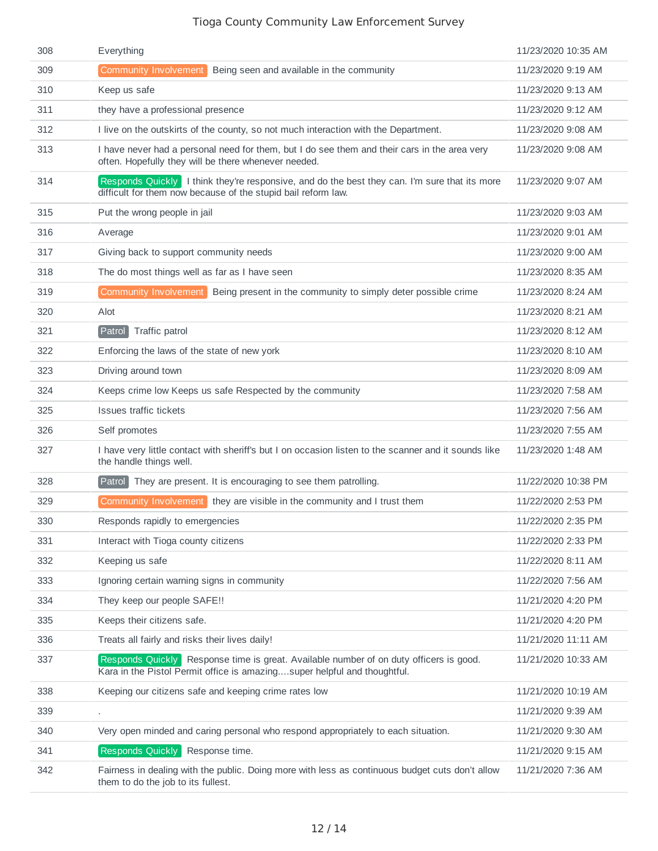| 308 | Everything                                                                                                                                                         | 11/23/2020 10:35 AM |
|-----|--------------------------------------------------------------------------------------------------------------------------------------------------------------------|---------------------|
| 309 | <b>Community Involvement</b><br>Being seen and available in the community                                                                                          | 11/23/2020 9:19 AM  |
| 310 | Keep us safe                                                                                                                                                       | 11/23/2020 9:13 AM  |
| 311 | they have a professional presence                                                                                                                                  | 11/23/2020 9:12 AM  |
| 312 | I live on the outskirts of the county, so not much interaction with the Department.                                                                                | 11/23/2020 9:08 AM  |
| 313 | I have never had a personal need for them, but I do see them and their cars in the area very<br>often. Hopefully they will be there whenever needed.               | 11/23/2020 9:08 AM  |
| 314 | Responds Quickly   I think they're responsive, and do the best they can. I'm sure that its more<br>difficult for them now because of the stupid bail reform law.   | 11/23/2020 9:07 AM  |
| 315 | Put the wrong people in jail                                                                                                                                       | 11/23/2020 9:03 AM  |
| 316 | Average                                                                                                                                                            | 11/23/2020 9:01 AM  |
| 317 | Giving back to support community needs                                                                                                                             | 11/23/2020 9:00 AM  |
| 318 | The do most things well as far as I have seen                                                                                                                      | 11/23/2020 8:35 AM  |
| 319 | Community Involvement<br>Being present in the community to simply deter possible crime                                                                             | 11/23/2020 8:24 AM  |
| 320 | Alot                                                                                                                                                               | 11/23/2020 8:21 AM  |
| 321 | Traffic patrol<br>Patrol                                                                                                                                           | 11/23/2020 8:12 AM  |
| 322 | Enforcing the laws of the state of new york                                                                                                                        | 11/23/2020 8:10 AM  |
| 323 | Driving around town                                                                                                                                                | 11/23/2020 8:09 AM  |
| 324 | Keeps crime low Keeps us safe Respected by the community                                                                                                           | 11/23/2020 7:58 AM  |
| 325 | <b>Issues traffic tickets</b>                                                                                                                                      | 11/23/2020 7:56 AM  |
| 326 | Self promotes                                                                                                                                                      | 11/23/2020 7:55 AM  |
| 327 | I have very little contact with sheriff's but I on occasion listen to the scanner and it sounds like<br>the handle things well.                                    | 11/23/2020 1:48 AM  |
| 328 | Patrol They are present. It is encouraging to see them patrolling.                                                                                                 | 11/22/2020 10:38 PM |
| 329 | Community Involvement they are visible in the community and I trust them                                                                                           | 11/22/2020 2:53 PM  |
| 330 | Responds rapidly to emergencies                                                                                                                                    | 11/22/2020 2:35 PM  |
| 331 | Interact with Tioga county citizens                                                                                                                                | 11/22/2020 2:33 PM  |
| 332 | Keeping us safe                                                                                                                                                    | 11/22/2020 8:11 AM  |
| 333 | Ignoring certain warning signs in community                                                                                                                        | 11/22/2020 7:56 AM  |
| 334 | They keep our people SAFE!!                                                                                                                                        | 11/21/2020 4:20 PM  |
| 335 | Keeps their citizens safe.                                                                                                                                         | 11/21/2020 4:20 PM  |
| 336 | Treats all fairly and risks their lives daily!                                                                                                                     | 11/21/2020 11:11 AM |
| 337 | Responds Quickly Response time is great. Available number of on duty officers is good.<br>Kara in the Pistol Permit office is amazingsuper helpful and thoughtful. | 11/21/2020 10:33 AM |
| 338 | Keeping our citizens safe and keeping crime rates low                                                                                                              | 11/21/2020 10:19 AM |
| 339 |                                                                                                                                                                    | 11/21/2020 9:39 AM  |
| 340 | Very open minded and caring personal who respond appropriately to each situation.                                                                                  | 11/21/2020 9:30 AM  |
| 341 | Responds Quickly Response time.                                                                                                                                    | 11/21/2020 9:15 AM  |
| 342 | Fairness in dealing with the public. Doing more with less as continuous budget cuts don't allow<br>them to do the job to its fullest.                              | 11/21/2020 7:36 AM  |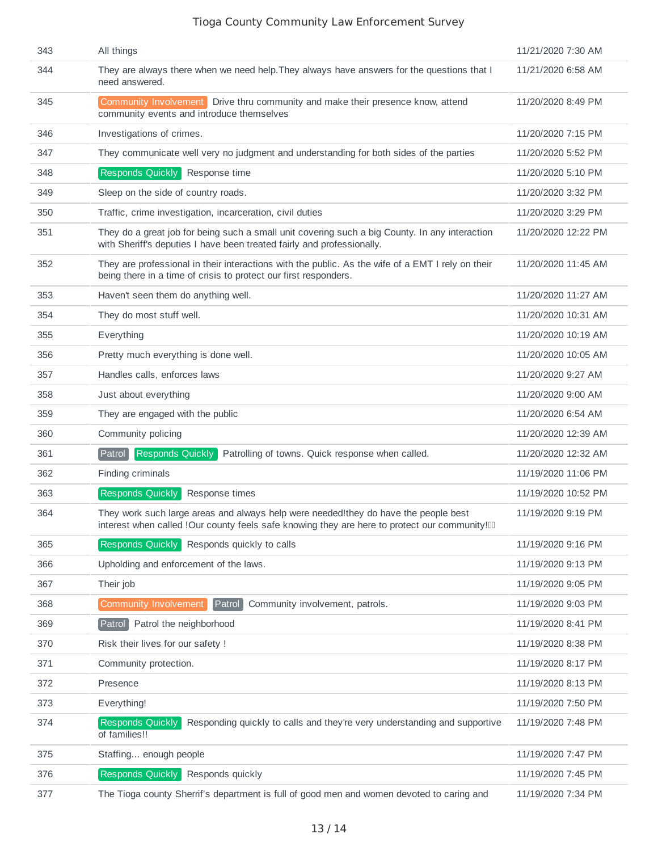| 343 | All things                                                                                                                                                                             | 11/21/2020 7:30 AM  |
|-----|----------------------------------------------------------------------------------------------------------------------------------------------------------------------------------------|---------------------|
| 344 | They are always there when we need help. They always have answers for the questions that I<br>need answered.                                                                           | 11/21/2020 6:58 AM  |
| 345 | Community Involvement Drive thru community and make their presence know, attend<br>community events and introduce themselves                                                           | 11/20/2020 8:49 PM  |
| 346 | Investigations of crimes.                                                                                                                                                              | 11/20/2020 7:15 PM  |
| 347 | They communicate well very no judgment and understanding for both sides of the parties                                                                                                 | 11/20/2020 5:52 PM  |
| 348 | Responds Quickly Response time                                                                                                                                                         | 11/20/2020 5:10 PM  |
| 349 | Sleep on the side of country roads.                                                                                                                                                    | 11/20/2020 3:32 PM  |
| 350 | Traffic, crime investigation, incarceration, civil duties                                                                                                                              | 11/20/2020 3:29 PM  |
| 351 | They do a great job for being such a small unit covering such a big County. In any interaction<br>with Sheriff's deputies I have been treated fairly and professionally.               | 11/20/2020 12:22 PM |
| 352 | They are professional in their interactions with the public. As the wife of a EMT I rely on their<br>being there in a time of crisis to protect our first responders.                  | 11/20/2020 11:45 AM |
| 353 | Haven't seen them do anything well.                                                                                                                                                    | 11/20/2020 11:27 AM |
| 354 | They do most stuff well.                                                                                                                                                               | 11/20/2020 10:31 AM |
| 355 | Everything                                                                                                                                                                             | 11/20/2020 10:19 AM |
| 356 | Pretty much everything is done well.                                                                                                                                                   | 11/20/2020 10:05 AM |
| 357 | Handles calls, enforces laws                                                                                                                                                           | 11/20/2020 9:27 AM  |
| 358 | Just about everything                                                                                                                                                                  | 11/20/2020 9:00 AM  |
| 359 | They are engaged with the public                                                                                                                                                       | 11/20/2020 6:54 AM  |
| 360 | Community policing                                                                                                                                                                     | 11/20/2020 12:39 AM |
| 361 | Responds Quickly<br>Parto<br>Patrolling of towns. Quick response when called.                                                                                                          | 11/20/2020 12:32 AM |
| 362 | Finding criminals                                                                                                                                                                      | 11/19/2020 11:06 PM |
| 363 | Responds Quickly<br>Response times                                                                                                                                                     | 11/19/2020 10:52 PM |
| 364 | They work such large areas and always help were needed! they do have the people best<br>interest when called !Our county feels safe knowing they are here to protect our community![1] | 11/19/2020 9:19 PM  |
| 365 | Responds Quickly<br>Responds quickly to calls                                                                                                                                          | 11/19/2020 9:16 PM  |
| 366 | Upholding and enforcement of the laws.                                                                                                                                                 | 11/19/2020 9:13 PM  |
| 367 | Their job                                                                                                                                                                              | 11/19/2020 9:05 PM  |
| 368 | <b>Community Involvement</b><br>Patrol<br>Community involvement, patrols.                                                                                                              | 11/19/2020 9:03 PM  |
| 369 | Patrol<br>Patrol the neighborhood                                                                                                                                                      | 11/19/2020 8:41 PM  |
| 370 | Risk their lives for our safety !                                                                                                                                                      | 11/19/2020 8:38 PM  |
| 371 | Community protection.                                                                                                                                                                  | 11/19/2020 8:17 PM  |
| 372 | Presence                                                                                                                                                                               | 11/19/2020 8:13 PM  |
| 373 | Everything!                                                                                                                                                                            | 11/19/2020 7:50 PM  |
| 374 | <b>Responds Quickly</b><br>Responding quickly to calls and they're very understanding and supportive<br>of families!!                                                                  | 11/19/2020 7:48 PM  |
| 375 | Staffing enough people                                                                                                                                                                 | 11/19/2020 7:47 PM  |
| 376 | Responds Quickly<br>Responds quickly                                                                                                                                                   | 11/19/2020 7:45 PM  |
| 377 | The Tioga county Sherrif's department is full of good men and women devoted to caring and                                                                                              | 11/19/2020 7:34 PM  |